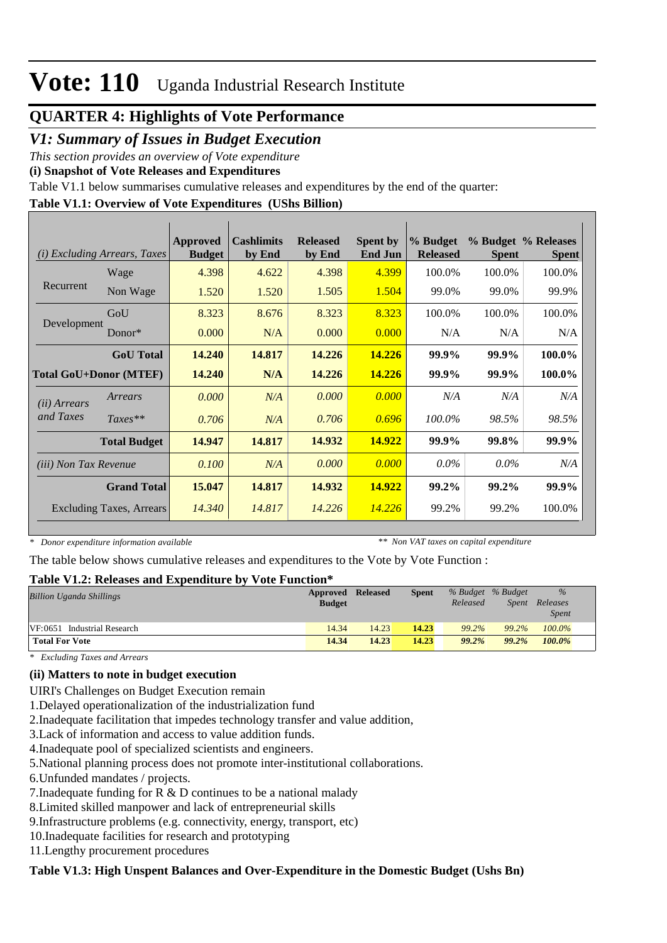### **QUARTER 4: Highlights of Vote Performance**

### *V1: Summary of Issues in Budget Execution*

*This section provides an overview of Vote expenditure* 

**(i) Snapshot of Vote Releases and Expenditures**

Table V1.1 below summarises cumulative releases and expenditures by the end of the quarter:

### **Table V1.1: Overview of Vote Expenditures (UShs Billion)**

| <b>Excluding Arrears, Taxes</b><br>(i) |                                 | Approved<br><b>Budget</b> | <b>Cashlimits</b><br>by End | <b>Released</b><br>by End | <b>Spent by</b><br><b>End Jun</b> | % Budget<br><b>Released</b> | <b>Spent</b> | % Budget % Releases<br><b>Spent</b> |
|----------------------------------------|---------------------------------|---------------------------|-----------------------------|---------------------------|-----------------------------------|-----------------------------|--------------|-------------------------------------|
|                                        | Wage                            | 4.398                     | 4.622                       | 4.398                     | 4.399                             | 100.0%                      | 100.0%       | 100.0%                              |
| Recurrent                              | Non Wage                        | 1.520                     | 1.520                       | 1.505                     | 1.504                             | 99.0%                       | 99.0%        | 99.9%                               |
|                                        | GoU                             | 8.323                     | 8.676                       | 8.323                     | 8.323                             | 100.0%                      | 100.0%       | 100.0%                              |
| Development                            | Donor $*$                       | 0.000                     | N/A                         | 0.000                     | 0.000                             | N/A                         | N/A          | N/A                                 |
|                                        | <b>GoU</b> Total                | 14.240                    | 14.817                      | 14.226                    | 14.226                            | 99.9%                       | 99.9%        | 100.0%                              |
|                                        | <b>Total GoU+Donor (MTEF)</b>   | 14.240                    | N/A                         | 14.226                    | 14.226                            | 99.9%                       | 99.9%        | 100.0%                              |
| ( <i>ii</i> ) Arrears                  | Arrears                         | 0.000                     | N/A                         | 0.000                     | 0.000                             | N/A                         | N/A          | N/A                                 |
| and Taxes                              | $Taxes**$                       | 0.706                     | N/A                         | 0.706                     | 0.696                             | 100.0%                      | 98.5%        | 98.5%                               |
|                                        | <b>Total Budget</b>             | 14.947                    | 14.817                      | 14.932                    | 14.922                            | 99.9%                       | 99.8%        | 99.9%                               |
| <i>(iii)</i> Non Tax Revenue           |                                 | 0.100                     | N/A                         | 0.000                     | 0.000                             | $0.0\%$                     | $0.0\%$      | N/A                                 |
|                                        | <b>Grand Total</b>              | 15.047                    | 14.817                      | 14.932                    | 14.922                            | 99.2%                       | 99.2%        | 99.9%                               |
|                                        | <b>Excluding Taxes, Arrears</b> | 14.340                    | 14.817                      | 14.226                    | 14.226                            | 99.2%                       | 99.2%        | 100.0%                              |

*\* Donor expenditure information available*

*\*\* Non VAT taxes on capital expenditure*

The table below shows cumulative releases and expenditures to the Vote by Vote Function :

### **Table V1.2: Releases and Expenditure by Vote Function\***

| $1.0010 + 1.001 + 1.0010000$ and $1.0001$ and $0.001$ |               |                 |              |          |                   |              |  |
|-------------------------------------------------------|---------------|-----------------|--------------|----------|-------------------|--------------|--|
| <b>Billion Uganda Shillings</b>                       | Approved      | <b>Released</b> | <b>Spent</b> |          | % Budget % Budget | $\%$         |  |
|                                                       | <b>Budget</b> |                 |              | Released | Spent             | Releases     |  |
|                                                       |               |                 |              |          |                   | <i>Spent</i> |  |
| VF:0651 Industrial Research                           | 14.34         | 14.23           | 14.23        | 99.2%    | 99.2%             | 100.0%       |  |
| <b>Total For Vote</b>                                 | 14.34         | 14.23           | 14.23        | 99.2%    | 99.2%             | 100.0%       |  |

*\* Excluding Taxes and Arrears*

### **(ii) Matters to note in budget execution**

UIRI's Challenges on Budget Execution remain

1. Delayed operationalization of the industrialization fund

2. Inadequate facilitation that impedes technology transfer and value addition,

3. Lack of information and access to value addition funds.

4. Inadequate pool of specialized scientists and engineers.

5. National planning process does not promote inter-institutional collaborations.

6. Unfunded mandates / projects.

7. Inadequate funding for  $R \& D$  continues to be a national malady

8. Limited skilled manpower and lack of entrepreneurial skills

9. Infrastructure problems (e.g. connectivity, energy, transport, etc)

10. Inadequate facilities for research and prototyping

11. Lengthy procurement procedures

#### **Table V1.3: High Unspent Balances and Over-Expenditure in the Domestic Budget (Ushs Bn)**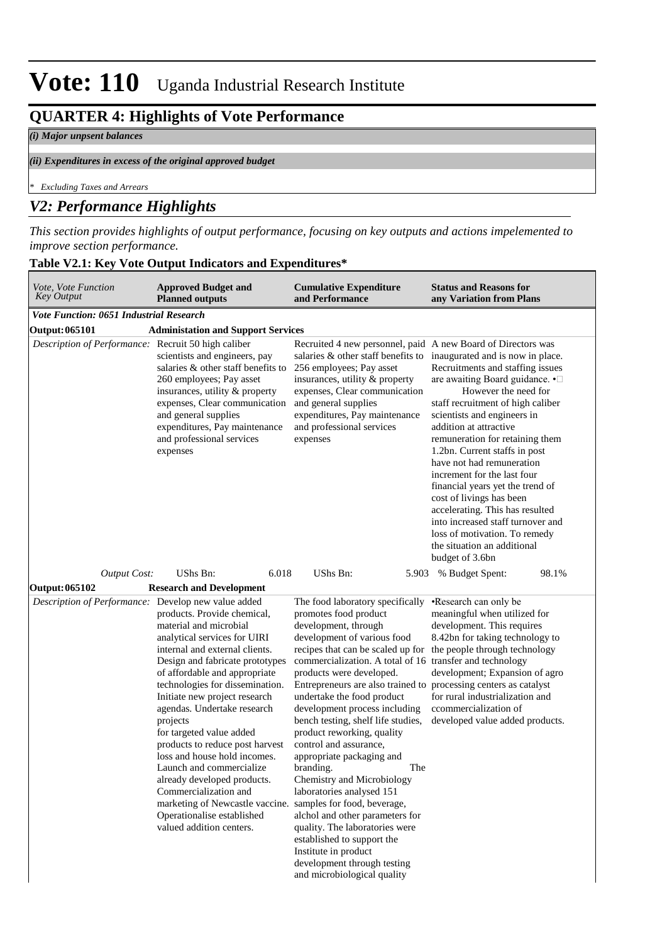### **QUARTER 4: Highlights of Vote Performance**

#### *(i) Major unpsent balances*

#### *(ii) Expenditures in excess of the original approved budget*

*\* Excluding Taxes and Arrears*

### *V2: Performance Highlights*

*This section provides highlights of output performance, focusing on key outputs and actions impelemented to improve section performance.*

|  |  | Table V2.1: Key Vote Output Indicators and Expenditures* |  |  |
|--|--|----------------------------------------------------------|--|--|
|  |  |                                                          |  |  |

| Vote, Vote Function<br><b>Key Output</b>            | <b>Approved Budget and</b><br><b>Planned outputs</b>                                                                                                                                                                                                                                                                                                                                                                                                                                                                                                                                                                   | <b>Cumulative Expenditure</b><br>and Performance                                                                                                                                                                                                                                                                                                                                                                                                                                                                                                                                                                                                                                                                                                                                                                                        | <b>Status and Reasons for</b><br>any Variation from Plans                                                                                                                                                                                                                                                                                                                                                                                                                                                                                                                               |
|-----------------------------------------------------|------------------------------------------------------------------------------------------------------------------------------------------------------------------------------------------------------------------------------------------------------------------------------------------------------------------------------------------------------------------------------------------------------------------------------------------------------------------------------------------------------------------------------------------------------------------------------------------------------------------------|-----------------------------------------------------------------------------------------------------------------------------------------------------------------------------------------------------------------------------------------------------------------------------------------------------------------------------------------------------------------------------------------------------------------------------------------------------------------------------------------------------------------------------------------------------------------------------------------------------------------------------------------------------------------------------------------------------------------------------------------------------------------------------------------------------------------------------------------|-----------------------------------------------------------------------------------------------------------------------------------------------------------------------------------------------------------------------------------------------------------------------------------------------------------------------------------------------------------------------------------------------------------------------------------------------------------------------------------------------------------------------------------------------------------------------------------------|
| <b>Vote Function: 0651 Industrial Research</b>      |                                                                                                                                                                                                                                                                                                                                                                                                                                                                                                                                                                                                                        |                                                                                                                                                                                                                                                                                                                                                                                                                                                                                                                                                                                                                                                                                                                                                                                                                                         |                                                                                                                                                                                                                                                                                                                                                                                                                                                                                                                                                                                         |
| <b>Output: 065101</b>                               | <b>Administation and Support Services</b>                                                                                                                                                                                                                                                                                                                                                                                                                                                                                                                                                                              |                                                                                                                                                                                                                                                                                                                                                                                                                                                                                                                                                                                                                                                                                                                                                                                                                                         |                                                                                                                                                                                                                                                                                                                                                                                                                                                                                                                                                                                         |
| Description of Performance: Recruit 50 high caliber | scientists and engineers, pay<br>salaries & other staff benefits to<br>260 employees; Pay asset<br>insurances, utility & property<br>expenses, Clear communication<br>and general supplies<br>expenditures, Pay maintenance<br>and professional services<br>expenses                                                                                                                                                                                                                                                                                                                                                   | Recruited 4 new personnel, paid A new Board of Directors was<br>salaries & other staff benefits to<br>256 employees; Pay asset<br>insurances, utility & property<br>expenses, Clear communication<br>and general supplies<br>expenditures, Pay maintenance<br>and professional services<br>expenses                                                                                                                                                                                                                                                                                                                                                                                                                                                                                                                                     | inaugurated and is now in place.<br>Recruitments and staffing issues<br>are awaiting Board guidance. •<br>However the need for<br>staff recruitment of high caliber<br>scientists and engineers in<br>addition at attractive<br>remuneration for retaining them<br>1.2bn. Current staffs in post<br>have not had remuneration<br>increment for the last four<br>financial years yet the trend of<br>cost of livings has been<br>accelerating. This has resulted<br>into increased staff turnover and<br>loss of motivation. To remedy<br>the situation an additional<br>budget of 3.6bn |
| <b>Output Cost:</b>                                 | 6.018<br>UShs Bn:                                                                                                                                                                                                                                                                                                                                                                                                                                                                                                                                                                                                      | UShs Bn:                                                                                                                                                                                                                                                                                                                                                                                                                                                                                                                                                                                                                                                                                                                                                                                                                                | 98.1%<br>5.903 % Budget Spent:                                                                                                                                                                                                                                                                                                                                                                                                                                                                                                                                                          |
| <b>Output: 065102</b>                               | <b>Research and Development</b>                                                                                                                                                                                                                                                                                                                                                                                                                                                                                                                                                                                        |                                                                                                                                                                                                                                                                                                                                                                                                                                                                                                                                                                                                                                                                                                                                                                                                                                         |                                                                                                                                                                                                                                                                                                                                                                                                                                                                                                                                                                                         |
| Description of Performance: Develop new value added | products. Provide chemical,<br>material and microbial<br>analytical services for UIRI<br>internal and external clients.<br>Design and fabricate prototypes<br>of affordable and appropriate<br>technologies for dissemination.<br>Initiate new project research<br>agendas. Undertake research<br>projects<br>for targeted value added<br>products to reduce post harvest<br>loss and house hold incomes.<br>Launch and commercialize<br>already developed products.<br>Commercialization and<br>marketing of Newcastle vaccine. samples for food, beverage,<br>Operationalise established<br>valued addition centers. | The food laboratory specifically .Research can only be<br>promotes food product<br>development, through<br>development of various food<br>recipes that can be scaled up for the people through technology<br>commercialization. A total of 16 transfer and technology<br>products were developed.<br>Entrepreneurs are also trained to processing centers as catalyst<br>undertake the food product<br>development process including<br>bench testing, shelf life studies,<br>product reworking, quality<br>control and assurance,<br>appropriate packaging and<br>branding.<br>The<br>Chemistry and Microbiology<br>laboratories analysed 151<br>alchol and other parameters for<br>quality. The laboratories were<br>established to support the<br>Institute in product<br>development through testing<br>and microbiological quality | meaningful when utilized for<br>development. This requires<br>8.42bn for taking technology to<br>development; Expansion of agro<br>for rural industrialization and<br>ccommercialization of<br>developed value added products.                                                                                                                                                                                                                                                                                                                                                          |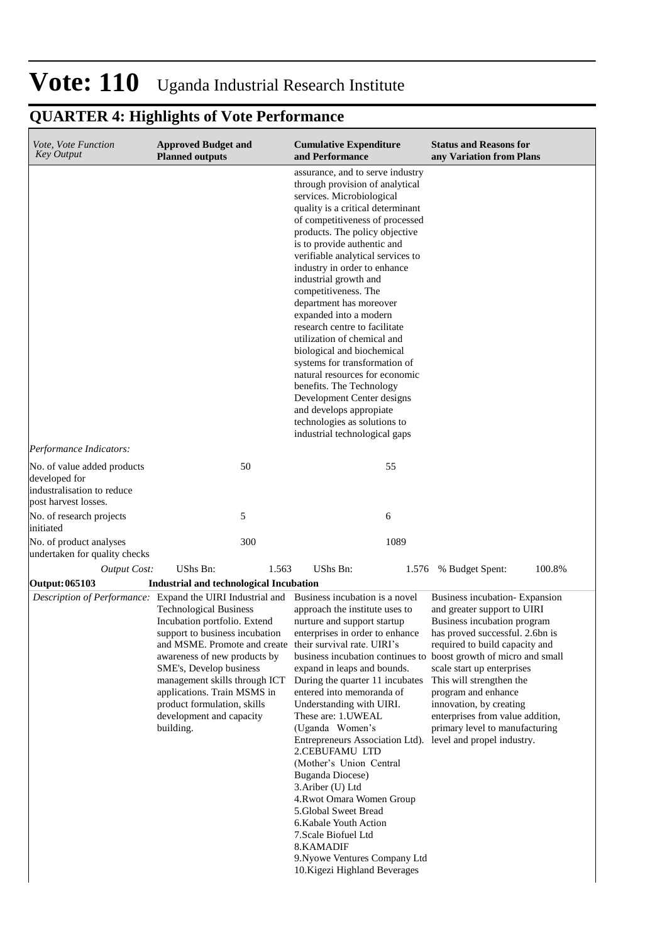### **QUARTER 4: Highlights of Vote Performance**

| <i>Vote, Vote Function</i><br><b>Key Output</b>                                                    | <b>Approved Budget and</b><br><b>Planned outputs</b>                                                                                                                                                                                                                                                                                                                                                                                                        | <b>Cumulative Expenditure</b><br>and Performance                                                                                                                                                                                                                                                                                                                                                                                                                                                                                                                                                                                                                                                                                            | <b>Status and Reasons for</b><br>any Variation from Plans                                                                                                                                                                                                                                                                                                                                                              |
|----------------------------------------------------------------------------------------------------|-------------------------------------------------------------------------------------------------------------------------------------------------------------------------------------------------------------------------------------------------------------------------------------------------------------------------------------------------------------------------------------------------------------------------------------------------------------|---------------------------------------------------------------------------------------------------------------------------------------------------------------------------------------------------------------------------------------------------------------------------------------------------------------------------------------------------------------------------------------------------------------------------------------------------------------------------------------------------------------------------------------------------------------------------------------------------------------------------------------------------------------------------------------------------------------------------------------------|------------------------------------------------------------------------------------------------------------------------------------------------------------------------------------------------------------------------------------------------------------------------------------------------------------------------------------------------------------------------------------------------------------------------|
|                                                                                                    |                                                                                                                                                                                                                                                                                                                                                                                                                                                             | assurance, and to serve industry<br>through provision of analytical<br>services. Microbiological<br>quality is a critical determinant<br>of competitiveness of processed<br>products. The policy objective<br>is to provide authentic and<br>verifiable analytical services to<br>industry in order to enhance<br>industrial growth and<br>competitiveness. The<br>department has moreover<br>expanded into a modern<br>research centre to facilitate<br>utilization of chemical and<br>biological and biochemical<br>systems for transformation of<br>natural resources for economic<br>benefits. The Technology<br>Development Center designs<br>and develops appropiate<br>technologies as solutions to<br>industrial technological gaps |                                                                                                                                                                                                                                                                                                                                                                                                                        |
| Performance Indicators:                                                                            |                                                                                                                                                                                                                                                                                                                                                                                                                                                             |                                                                                                                                                                                                                                                                                                                                                                                                                                                                                                                                                                                                                                                                                                                                             |                                                                                                                                                                                                                                                                                                                                                                                                                        |
| No. of value added products<br>developed for<br>industralisation to reduce<br>post harvest losses. | 50                                                                                                                                                                                                                                                                                                                                                                                                                                                          | 55                                                                                                                                                                                                                                                                                                                                                                                                                                                                                                                                                                                                                                                                                                                                          |                                                                                                                                                                                                                                                                                                                                                                                                                        |
| No. of research projects<br>initiated                                                              | 5                                                                                                                                                                                                                                                                                                                                                                                                                                                           | 6                                                                                                                                                                                                                                                                                                                                                                                                                                                                                                                                                                                                                                                                                                                                           |                                                                                                                                                                                                                                                                                                                                                                                                                        |
| No. of product analyses<br>undertaken for quality checks                                           | 300                                                                                                                                                                                                                                                                                                                                                                                                                                                         | 1089                                                                                                                                                                                                                                                                                                                                                                                                                                                                                                                                                                                                                                                                                                                                        |                                                                                                                                                                                                                                                                                                                                                                                                                        |
| <b>Output Cost:</b>                                                                                | UShs Bn:<br>1.563                                                                                                                                                                                                                                                                                                                                                                                                                                           | UShs Bn:<br>1.576                                                                                                                                                                                                                                                                                                                                                                                                                                                                                                                                                                                                                                                                                                                           | 100.8%<br>% Budget Spent:                                                                                                                                                                                                                                                                                                                                                                                              |
| Output: 065103                                                                                     | <b>Industrial and technological Incubation</b>                                                                                                                                                                                                                                                                                                                                                                                                              |                                                                                                                                                                                                                                                                                                                                                                                                                                                                                                                                                                                                                                                                                                                                             |                                                                                                                                                                                                                                                                                                                                                                                                                        |
|                                                                                                    | Description of Performance: Expand the UIRI Industrial and Business incubation is a novel<br><b>Technological Business</b><br>Incubation portfolio. Extend<br>support to business incubation<br>and MSME. Promote and create their survival rate. UIRI's<br>awareness of new products by<br>SME's, Develop business<br>management skills through ICT<br>applications. Train MSMS in<br>product formulation, skills<br>development and capacity<br>building. | approach the institute uses to<br>nurture and support startup<br>enterprises in order to enhance<br>expand in leaps and bounds.<br>During the quarter 11 incubates<br>entered into memoranda of<br>Understanding with UIRI.<br>These are: 1.UWEAL<br>(Uganda Women's<br>Entrepreneurs Association Ltd). level and propel industry.<br>2.CEBUFAMU LTD<br>(Mother's Union Central<br><b>Buganda Diocese)</b><br>3. Ariber (U) Ltd<br>4. Rwot Omara Women Group<br>5.Global Sweet Bread<br>6. Kabale Youth Action<br>7. Scale Biofuel Ltd<br>8.KAMADIF<br>9. Nyowe Ventures Company Ltd<br>10. Kigezi Highland Beverages                                                                                                                       | Business incubation-Expansion<br>and greater support to UIRI<br>Business incubation program<br>has proved successful. 2.6bn is<br>required to build capacity and<br>business incubation continues to boost growth of micro and small<br>scale start up enterprises<br>This will strengthen the<br>program and enhance<br>innovation, by creating<br>enterprises from value addition,<br>primary level to manufacturing |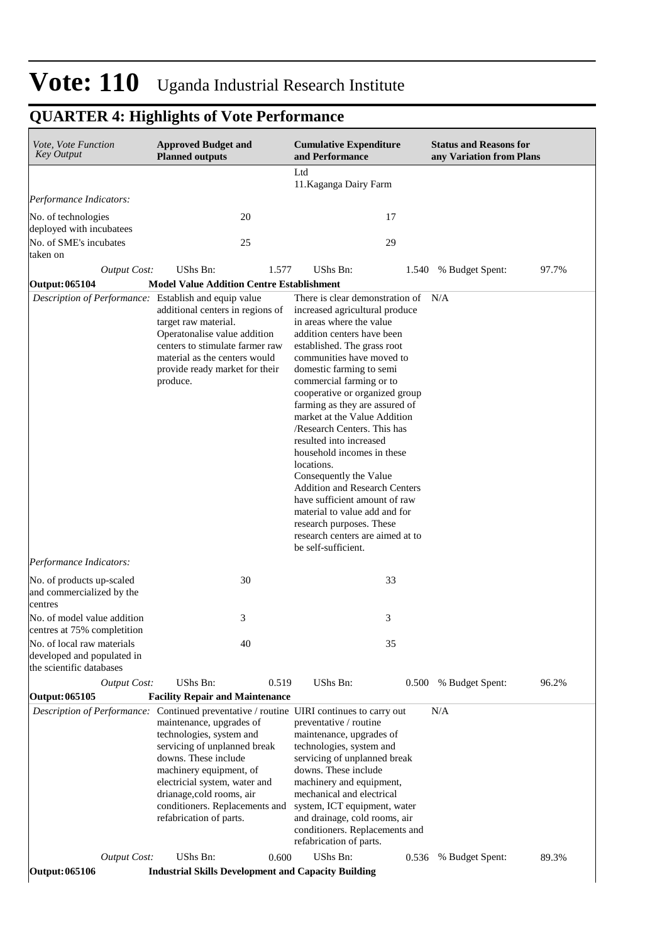### **QUARTER 4: Highlights of Vote Performance**

| <i>Vote, Vote Function</i><br><b>Key Output</b>                                      | <b>Approved Budget and</b><br><b>Planned outputs</b>                                                                                                                                                                                                                                                                                                                  | <b>Cumulative Expenditure</b><br>and Performance                                                                                                                                                                                                                                                                                                                                                                                                                                                                                                                                                                                                                                     | <b>Status and Reasons for</b><br>any Variation from Plans |
|--------------------------------------------------------------------------------------|-----------------------------------------------------------------------------------------------------------------------------------------------------------------------------------------------------------------------------------------------------------------------------------------------------------------------------------------------------------------------|--------------------------------------------------------------------------------------------------------------------------------------------------------------------------------------------------------------------------------------------------------------------------------------------------------------------------------------------------------------------------------------------------------------------------------------------------------------------------------------------------------------------------------------------------------------------------------------------------------------------------------------------------------------------------------------|-----------------------------------------------------------|
|                                                                                      |                                                                                                                                                                                                                                                                                                                                                                       | Ltd<br>11. Kaganga Dairy Farm                                                                                                                                                                                                                                                                                                                                                                                                                                                                                                                                                                                                                                                        |                                                           |
| Performance Indicators:                                                              |                                                                                                                                                                                                                                                                                                                                                                       |                                                                                                                                                                                                                                                                                                                                                                                                                                                                                                                                                                                                                                                                                      |                                                           |
| No. of technologies                                                                  | 20                                                                                                                                                                                                                                                                                                                                                                    | 17                                                                                                                                                                                                                                                                                                                                                                                                                                                                                                                                                                                                                                                                                   |                                                           |
| deployed with incubatees<br>No. of SME's incubates                                   | 25                                                                                                                                                                                                                                                                                                                                                                    | 29                                                                                                                                                                                                                                                                                                                                                                                                                                                                                                                                                                                                                                                                                   |                                                           |
| taken on                                                                             |                                                                                                                                                                                                                                                                                                                                                                       |                                                                                                                                                                                                                                                                                                                                                                                                                                                                                                                                                                                                                                                                                      |                                                           |
| <b>Output Cost:</b><br><b>Output: 065104</b>                                         | UShs Bn:<br>1.577<br><b>Model Value Addition Centre Establishment</b>                                                                                                                                                                                                                                                                                                 | UShs Bn:                                                                                                                                                                                                                                                                                                                                                                                                                                                                                                                                                                                                                                                                             | 97.7%<br>1.540 % Budget Spent:                            |
| Description of Performance: Establish and equip value                                | additional centers in regions of<br>target raw material.<br>Operatonalise value addition<br>centers to stimulate farmer raw<br>material as the centers would<br>provide ready market for their<br>produce.                                                                                                                                                            | There is clear demonstration of<br>increased agricultural produce<br>in areas where the value<br>addition centers have been<br>established. The grass root<br>communities have moved to<br>domestic farming to semi<br>commercial farming or to<br>cooperative or organized group<br>farming as they are assured of<br>market at the Value Addition<br>/Research Centers. This has<br>resulted into increased<br>household incomes in these<br>locations.<br>Consequently the Value<br><b>Addition and Research Centers</b><br>have sufficient amount of raw<br>material to value add and for<br>research purposes. These<br>research centers are aimed at to<br>be self-sufficient. | N/A                                                       |
| Performance Indicators:                                                              |                                                                                                                                                                                                                                                                                                                                                                       |                                                                                                                                                                                                                                                                                                                                                                                                                                                                                                                                                                                                                                                                                      |                                                           |
| No. of products up-scaled<br>and commercialized by the<br>centres                    | 30                                                                                                                                                                                                                                                                                                                                                                    | 33                                                                                                                                                                                                                                                                                                                                                                                                                                                                                                                                                                                                                                                                                   |                                                           |
| No. of model value addition<br>centres at 75% completition                           | 3                                                                                                                                                                                                                                                                                                                                                                     | 3                                                                                                                                                                                                                                                                                                                                                                                                                                                                                                                                                                                                                                                                                    |                                                           |
| No. of local raw materials<br>developed and populated in<br>the scientific databases | 40                                                                                                                                                                                                                                                                                                                                                                    | 35                                                                                                                                                                                                                                                                                                                                                                                                                                                                                                                                                                                                                                                                                   |                                                           |
| <b>Output Cost:</b>                                                                  | UShs Bn:<br>0.519                                                                                                                                                                                                                                                                                                                                                     | UShs Bn:                                                                                                                                                                                                                                                                                                                                                                                                                                                                                                                                                                                                                                                                             | 0.500 % Budget Spent:<br>96.2%                            |
| <b>Output: 065105</b>                                                                | <b>Facility Repair and Maintenance</b>                                                                                                                                                                                                                                                                                                                                |                                                                                                                                                                                                                                                                                                                                                                                                                                                                                                                                                                                                                                                                                      |                                                           |
|                                                                                      | <i>Description of Performance:</i> Continued preventative / routine UIRI continues to carry out<br>maintenance, upgrades of<br>technologies, system and<br>servicing of unplanned break<br>downs. These include<br>machinery equipment, of<br>electricial system, water and<br>drianage, cold rooms, air<br>conditioners. Replacements and<br>refabrication of parts. | preventative / routine<br>maintenance, upgrades of<br>technologies, system and<br>servicing of unplanned break<br>downs. These include<br>machinery and equipment,<br>mechanical and electrical<br>system, ICT equipment, water<br>and drainage, cold rooms, air<br>conditioners. Replacements and<br>refabrication of parts.                                                                                                                                                                                                                                                                                                                                                        | N/A                                                       |
| <b>Output Cost:</b>                                                                  | UShs Bn:<br>0.600                                                                                                                                                                                                                                                                                                                                                     | UShs Bn:                                                                                                                                                                                                                                                                                                                                                                                                                                                                                                                                                                                                                                                                             | 89.3%<br>0.536 % Budget Spent:                            |
| Output: 065106                                                                       | <b>Industrial Skills Development and Capacity Building</b>                                                                                                                                                                                                                                                                                                            |                                                                                                                                                                                                                                                                                                                                                                                                                                                                                                                                                                                                                                                                                      |                                                           |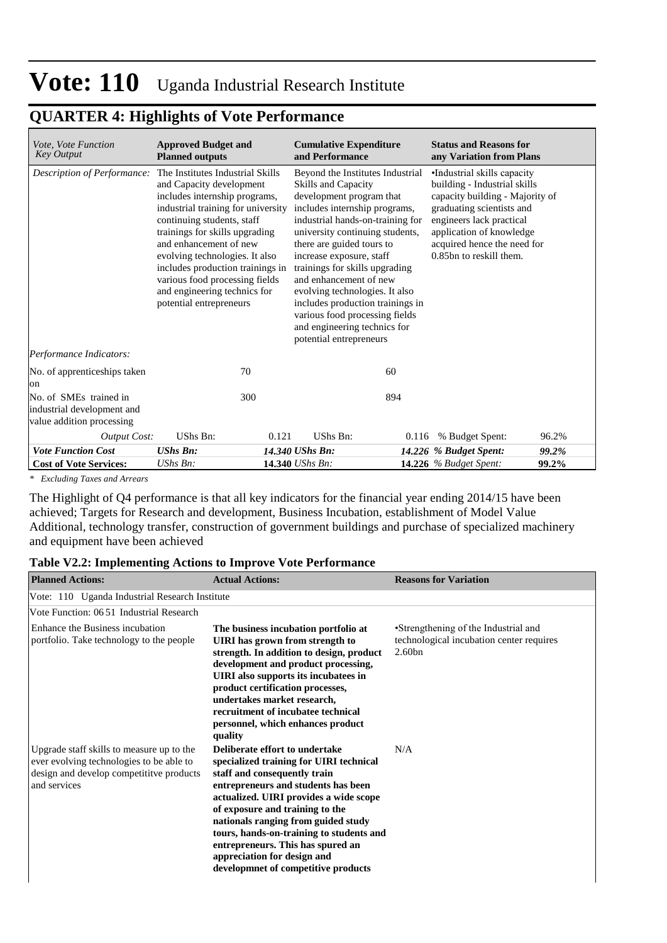### **QUARTER 4: Highlights of Vote Performance**

| Vote, Vote Function<br><b>Key Output</b>                                          | <b>Approved Budget and</b><br><b>Planned outputs</b>                                                                                                                                                                                                                                                                                                                                             | <b>Cumulative Expenditure</b><br>and Performance                                                                                                                                                                                                                                                                                                                                                                                                                                    | <b>Status and Reasons for</b><br>any Variation from Plans                                                                                                                                                                                     |
|-----------------------------------------------------------------------------------|--------------------------------------------------------------------------------------------------------------------------------------------------------------------------------------------------------------------------------------------------------------------------------------------------------------------------------------------------------------------------------------------------|-------------------------------------------------------------------------------------------------------------------------------------------------------------------------------------------------------------------------------------------------------------------------------------------------------------------------------------------------------------------------------------------------------------------------------------------------------------------------------------|-----------------------------------------------------------------------------------------------------------------------------------------------------------------------------------------------------------------------------------------------|
| Description of Performance:                                                       | The Institutes Industrial Skills<br>and Capacity development<br>includes internship programs,<br>industrial training for university<br>continuing students, staff<br>trainings for skills upgrading<br>and enhancement of new<br>evolving technologies. It also<br>includes production trainings in<br>various food processing fields<br>and engineering technics for<br>potential entrepreneurs | Beyond the Institutes Industrial<br>Skills and Capacity<br>development program that<br>includes internship programs,<br>industrial hands-on-training for<br>university continuing students,<br>there are guided tours to<br>increase exposure, staff<br>trainings for skills upgrading<br>and enhancement of new<br>evolving technologies. It also<br>includes production trainings in<br>various food processing fields<br>and engineering technics for<br>potential entrepreneurs | •Industrial skills capacity<br>building - Industrial skills<br>capacity building - Majority of<br>graduating scientists and<br>engineers lack practical<br>application of knowledge<br>acquired hence the need for<br>0.85bn to reskill them. |
| Performance Indicators:                                                           |                                                                                                                                                                                                                                                                                                                                                                                                  |                                                                                                                                                                                                                                                                                                                                                                                                                                                                                     |                                                                                                                                                                                                                                               |
| No. of apprenticeships taken<br>lon                                               | 70                                                                                                                                                                                                                                                                                                                                                                                               | 60                                                                                                                                                                                                                                                                                                                                                                                                                                                                                  |                                                                                                                                                                                                                                               |
| No. of SMEs trained in<br>industrial development and<br>value addition processing | 300                                                                                                                                                                                                                                                                                                                                                                                              | 894                                                                                                                                                                                                                                                                                                                                                                                                                                                                                 |                                                                                                                                                                                                                                               |
| <b>Output Cost:</b>                                                               | UShs Bn:<br>0.121                                                                                                                                                                                                                                                                                                                                                                                | UShs Bn:<br>0.116                                                                                                                                                                                                                                                                                                                                                                                                                                                                   | % Budget Spent:<br>96.2%                                                                                                                                                                                                                      |
| <b>Vote Function Cost</b>                                                         | <b>UShs Bn:</b>                                                                                                                                                                                                                                                                                                                                                                                  | 14.340 UShs Bn:                                                                                                                                                                                                                                                                                                                                                                                                                                                                     | 99.2%<br>14.226 % Budget Spent:                                                                                                                                                                                                               |
| <b>Cost of Vote Services:</b>                                                     | UShs Bn:                                                                                                                                                                                                                                                                                                                                                                                         | 14.340 UShs Bn:                                                                                                                                                                                                                                                                                                                                                                                                                                                                     | 99.2%<br>14.226 $%$ Budget Spent:                                                                                                                                                                                                             |

*\* Excluding Taxes and Arrears*

The Highlight of Q4 performance is that all key indicators for the financial year ending 2014/15 have been achieved; Targets for Research and development, Business Incubation, establishment of Model Value Additional, technology transfer, construction of government buildings and purchase of specialized machinery and equipment have been achieved

#### **Table V2.2: Implementing Actions to Improve Vote Performance**

| <b>Planned Actions:</b>                                                                                                                          | <b>Actual Actions:</b>                                                                                                                                                                                                                                                                                                                                                                                                      | <b>Reasons for Variation</b>                                                                           |
|--------------------------------------------------------------------------------------------------------------------------------------------------|-----------------------------------------------------------------------------------------------------------------------------------------------------------------------------------------------------------------------------------------------------------------------------------------------------------------------------------------------------------------------------------------------------------------------------|--------------------------------------------------------------------------------------------------------|
| Vote: 110 Uganda Industrial Research Institute                                                                                                   |                                                                                                                                                                                                                                                                                                                                                                                                                             |                                                                                                        |
| Vote Function: 0651 Industrial Research                                                                                                          |                                                                                                                                                                                                                                                                                                                                                                                                                             |                                                                                                        |
| Enhance the Business incubation<br>portfolio. Take technology to the people                                                                      | The business incubation portfolio at<br>UIRI has grown from strength to<br>strength. In addition to design, product<br>development and product processing,<br>UIRI also supports its incubatees in<br>product certification processes,<br>undertakes market research,<br>recruitment of incubatee technical<br>personnel, which enhances product<br>quality                                                                 | •Strengthening of the Industrial and<br>technological incubation center requires<br>2.60 <sub>bn</sub> |
| Upgrade staff skills to measure up to the<br>ever evolving technologies to be able to<br>design and develop competitity products<br>and services | Deliberate effort to undertake<br>specialized training for UIRI technical<br>staff and consequently train<br>entrepreneurs and students has been<br>actualized. UIRI provides a wide scope<br>of exposure and training to the<br>nationals ranging from guided study<br>tours, hands-on-training to students and<br>entrepreneurs. This has spured an<br>appreciation for design and<br>developmnet of competitive products | N/A                                                                                                    |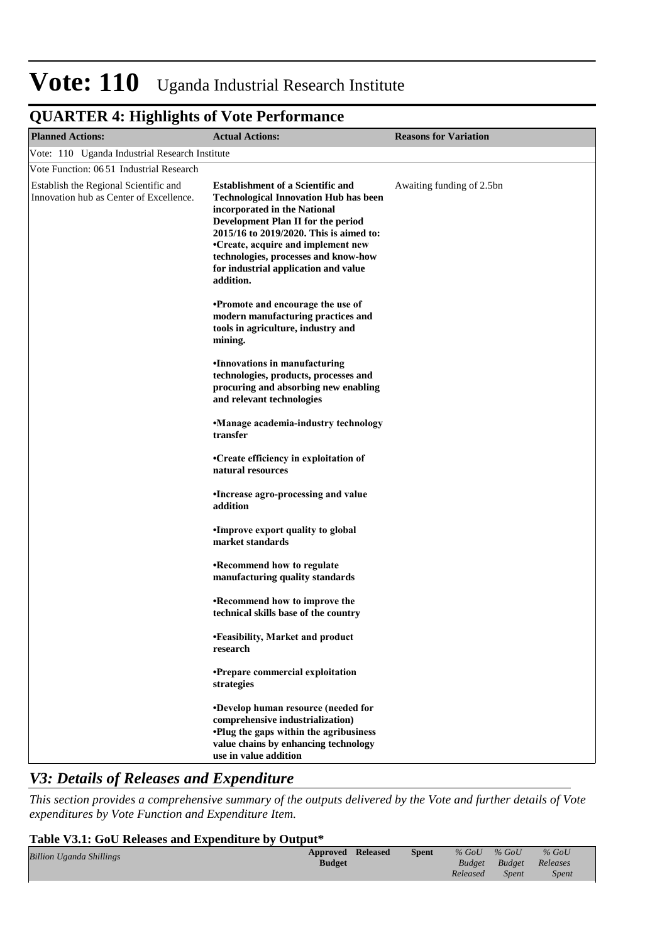### **QUARTER 4: Highlights of Vote Performance**

| <b>Planned Actions:</b>                                                          | <b>Actual Actions:</b>                                                                                                                                                                                                                                                                                                                       | <b>Reasons for Variation</b> |
|----------------------------------------------------------------------------------|----------------------------------------------------------------------------------------------------------------------------------------------------------------------------------------------------------------------------------------------------------------------------------------------------------------------------------------------|------------------------------|
| Vote: 110 Uganda Industrial Research Institute                                   |                                                                                                                                                                                                                                                                                                                                              |                              |
| Vote Function: 0651 Industrial Research                                          |                                                                                                                                                                                                                                                                                                                                              |                              |
| Establish the Regional Scientific and<br>Innovation hub as Center of Excellence. | <b>Establishment of a Scientific and</b><br><b>Technological Innovation Hub has been</b><br>incorporated in the National<br>Development Plan II for the period<br>2015/16 to 2019/2020. This is aimed to:<br>•Create, acquire and implement new<br>technologies, processes and know-how<br>for industrial application and value<br>addition. | Awaiting funding of 2.5bn    |
|                                                                                  | <b>•Promote and encourage the use of</b><br>modern manufacturing practices and<br>tools in agriculture, industry and<br>mining.                                                                                                                                                                                                              |                              |
|                                                                                  | <b>•Innovations in manufacturing</b><br>technologies, products, processes and<br>procuring and absorbing new enabling<br>and relevant technologies                                                                                                                                                                                           |                              |
|                                                                                  | •Manage academia-industry technology<br>transfer                                                                                                                                                                                                                                                                                             |                              |
|                                                                                  | •Create efficiency in exploitation of<br>natural resources                                                                                                                                                                                                                                                                                   |                              |
|                                                                                  | • Increase agro-processing and value<br>addition                                                                                                                                                                                                                                                                                             |                              |
|                                                                                  | • Improve export quality to global<br>market standards                                                                                                                                                                                                                                                                                       |                              |
|                                                                                  | <b>•Recommend how to regulate</b><br>manufacturing quality standards                                                                                                                                                                                                                                                                         |                              |
|                                                                                  | <b>•Recommend how to improve the</b><br>technical skills base of the country                                                                                                                                                                                                                                                                 |                              |
|                                                                                  | •Eeasibility, Market and product<br>research                                                                                                                                                                                                                                                                                                 |                              |
|                                                                                  | •Prepare commercial exploitation<br>strategies                                                                                                                                                                                                                                                                                               |                              |
|                                                                                  | <b>•Develop human resource (needed for</b><br>comprehensive industrialization)<br><b>•Plug the gaps within the agribusiness</b><br>value chains by enhancing technology<br>use in value addition                                                                                                                                             |                              |

### *V3: Details of Releases and Expenditure*

*This section provides a comprehensive summary of the outputs delivered by the Vote and further details of Vote expenditures by Vote Function and Expenditure Item.*

#### **Table V3.1: GoU Releases and Expenditure by Output\***

| <b>Billion Uganda Shillings</b> | <b>Approved Released</b><br><b>Budget</b> | <b>Spent</b> | $%$ GoU<br>Budget | $%$ GoU<br><b>Budget</b> Releases | $%$ GoU      |  |
|---------------------------------|-------------------------------------------|--------------|-------------------|-----------------------------------|--------------|--|
|                                 |                                           |              | Released          | <i>Spent</i>                      | <b>Spent</b> |  |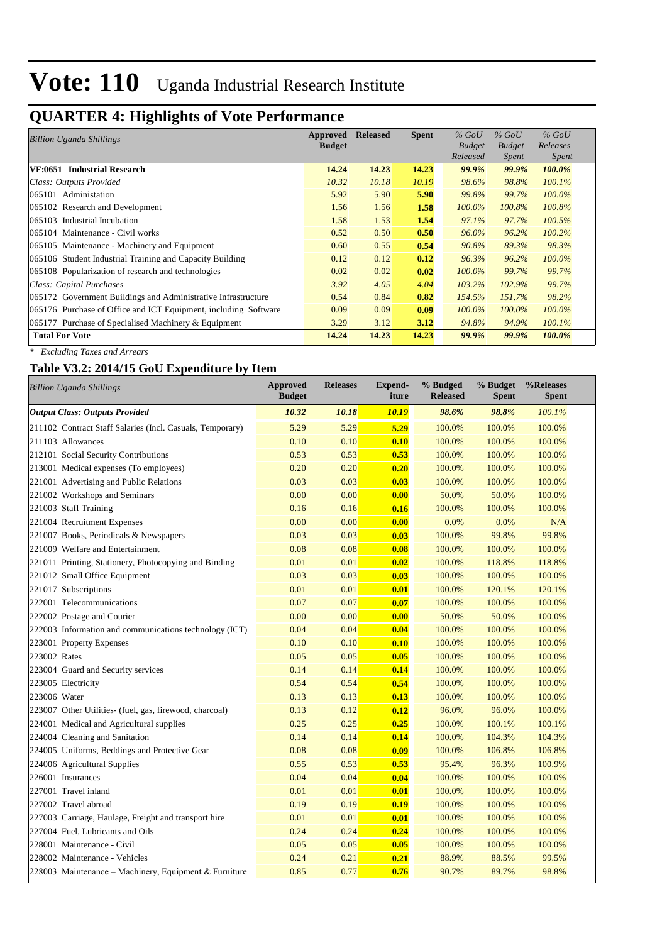### **QUARTER 4: Highlights of Vote Performance**

| <b>Billion Uganda Shillings</b>                                 | Approved      | <b>Released</b> | <b>Spent</b> | $%$ GoU       | $%$ GoU       | $%$ GoU      |
|-----------------------------------------------------------------|---------------|-----------------|--------------|---------------|---------------|--------------|
|                                                                 | <b>Budget</b> |                 |              | <b>Budget</b> | <b>Budget</b> | Releases     |
|                                                                 |               |                 |              | Released      | <i>Spent</i>  | <i>Spent</i> |
| VF:0651 Industrial Research                                     | 14.24         | 14.23           | 14.23        | <b>99.9%</b>  | 99.9%         | 100.0%       |
| Class: Outputs Provided                                         | 10.32         | 10.18           | 10.19        | 98.6%         | 98.8%         | 100.1%       |
| 065101 Administation                                            | 5.92          | 5.90            | 5.90         | 99.8%         | 99.7%         | 100.0%       |
| 065102 Research and Development                                 | 1.56          | 1.56            | 1.58         | $100.0\%$     | 100.8%        | 100.8%       |
| 065103 Industrial Incubation                                    | 1.58          | 1.53            | 1.54         | 97.1%         | 97.7%         | 100.5%       |
| 065104 Maintenance - Civil works                                | 0.52          | 0.50            | 0.50         | 96.0%         | 96.2%         | $100.2\%$    |
| 065105 Maintenance - Machinery and Equipment                    | 0.60          | 0.55            | 0.54         | 90.8%         | 89.3%         | 98.3%        |
| 065106 Student Industrial Training and Capacity Building        | 0.12          | 0.12            | 0.12         | 96.3%         | 96.2%         | 100.0%       |
| 065108 Popularization of research and technologies              | 0.02          | 0.02            | 0.02         | $100.0\%$     | 99.7%         | 99.7%        |
| Class: Capital Purchases                                        | 3.92          | 4.05            | 4.04         | 103.2%        | 102.9%        | 99.7%        |
| 065172 Government Buildings and Administrative Infrastructure   | 0.54          | 0.84            | 0.82         | 154.5%        | 151.7%        | 98.2%        |
| 065176 Purchase of Office and ICT Equipment, including Software | 0.09          | 0.09            | 0.09         | $100.0\%$     | 100.0%        | 100.0%       |
| $065177$ Purchase of Specialised Machinery & Equipment          | 3.29          | 3.12            | 3.12         | 94.8%         | 94.9%         | 100.1%       |
| <b>Total For Vote</b>                                           | 14.24         | 14.23           | 14.23        | 99.9%         | 99.9%         | 100.0%       |

*\* Excluding Taxes and Arrears*

### **Table V3.2: 2014/15 GoU Expenditure by Item**

| <b>Billion Uganda Shillings</b>                           | <b>Approved</b><br><b>Budget</b> | <b>Releases</b> | <b>Expend-</b><br>iture | % Budged<br><b>Released</b> | % Budget<br><b>Spent</b> | %Releases<br><b>Spent</b> |
|-----------------------------------------------------------|----------------------------------|-----------------|-------------------------|-----------------------------|--------------------------|---------------------------|
| <b>Output Class: Outputs Provided</b>                     | 10.32                            | 10.18           | 10.19                   | 98.6%                       | 98.8%                    | 100.1%                    |
| 211102 Contract Staff Salaries (Incl. Casuals, Temporary) | 5.29                             | 5.29            | 5.29                    | 100.0%                      | 100.0%                   | 100.0%                    |
| 211103 Allowances                                         | 0.10                             | 0.10            | 0.10                    | 100.0%                      | 100.0%                   | 100.0%                    |
| 212101 Social Security Contributions                      | 0.53                             | 0.53            | 0.53                    | 100.0%                      | 100.0%                   | 100.0%                    |
| 213001 Medical expenses (To employees)                    | 0.20                             | 0.20            | 0.20                    | 100.0%                      | 100.0%                   | 100.0%                    |
| 221001 Advertising and Public Relations                   | 0.03                             | 0.03            | 0.03                    | 100.0%                      | 100.0%                   | 100.0%                    |
| 221002 Workshops and Seminars                             | 0.00                             | 0.00            | 0.00                    | 50.0%                       | 50.0%                    | 100.0%                    |
| 221003 Staff Training                                     | 0.16                             | 0.16            | 0.16                    | 100.0%                      | 100.0%                   | 100.0%                    |
| 221004 Recruitment Expenses                               | 0.00                             | 0.00            | 0.00                    | 0.0%                        | 0.0%                     | N/A                       |
| 221007 Books, Periodicals & Newspapers                    | 0.03                             | 0.03            | 0.03                    | 100.0%                      | 99.8%                    | 99.8%                     |
| 221009 Welfare and Entertainment                          | 0.08                             | 0.08            | 0.08                    | 100.0%                      | 100.0%                   | 100.0%                    |
| 221011 Printing, Stationery, Photocopying and Binding     | 0.01                             | 0.01            | 0.02                    | 100.0%                      | 118.8%                   | 118.8%                    |
| 221012 Small Office Equipment                             | 0.03                             | 0.03            | 0.03                    | 100.0%                      | 100.0%                   | 100.0%                    |
| 221017 Subscriptions                                      | 0.01                             | 0.01            | 0.01                    | 100.0%                      | 120.1%                   | 120.1%                    |
| 222001 Telecommunications                                 | 0.07                             | 0.07            | 0.07                    | 100.0%                      | 100.0%                   | 100.0%                    |
| 222002 Postage and Courier                                | 0.00                             | 0.00            | 0.00                    | 50.0%                       | 50.0%                    | 100.0%                    |
| 222003 Information and communications technology (ICT)    | 0.04                             | 0.04            | 0.04                    | 100.0%                      | 100.0%                   | 100.0%                    |
| 223001 Property Expenses                                  | 0.10                             | 0.10            | 0.10                    | 100.0%                      | 100.0%                   | 100.0%                    |
| 223002 Rates                                              | 0.05                             | 0.05            | 0.05                    | 100.0%                      | 100.0%                   | 100.0%                    |
| 223004 Guard and Security services                        | 0.14                             | 0.14            | 0.14                    | 100.0%                      | 100.0%                   | 100.0%                    |
| 223005 Electricity                                        | 0.54                             | 0.54            | 0.54                    | 100.0%                      | 100.0%                   | 100.0%                    |
| 223006 Water                                              | 0.13                             | 0.13            | 0.13                    | 100.0%                      | 100.0%                   | 100.0%                    |
| 223007 Other Utilities- (fuel, gas, firewood, charcoal)   | 0.13                             | 0.12            | 0.12                    | 96.0%                       | 96.0%                    | 100.0%                    |
| 224001 Medical and Agricultural supplies                  | 0.25                             | 0.25            | 0.25                    | 100.0%                      | 100.1%                   | 100.1%                    |
| 224004 Cleaning and Sanitation                            | 0.14                             | 0.14            | 0.14                    | 100.0%                      | 104.3%                   | 104.3%                    |
| 224005 Uniforms, Beddings and Protective Gear             | 0.08                             | 0.08            | 0.09                    | 100.0%                      | 106.8%                   | 106.8%                    |
| 224006 Agricultural Supplies                              | 0.55                             | 0.53            | 0.53                    | 95.4%                       | 96.3%                    | 100.9%                    |
| 226001 Insurances                                         | 0.04                             | 0.04            | 0.04                    | 100.0%                      | 100.0%                   | 100.0%                    |
| 227001 Travel inland                                      | 0.01                             | 0.01            | 0.01                    | 100.0%                      | 100.0%                   | 100.0%                    |
| 227002 Travel abroad                                      | 0.19                             | 0.19            | 0.19                    | 100.0%                      | 100.0%                   | 100.0%                    |
| 227003 Carriage, Haulage, Freight and transport hire      | 0.01                             | 0.01            | 0.01                    | 100.0%                      | 100.0%                   | 100.0%                    |
| 227004 Fuel, Lubricants and Oils                          | 0.24                             | 0.24            | 0.24                    | 100.0%                      | 100.0%                   | 100.0%                    |
| 228001 Maintenance - Civil                                | 0.05                             | 0.05            | 0.05                    | 100.0%                      | 100.0%                   | 100.0%                    |
| 228002 Maintenance - Vehicles                             | 0.24                             | 0.21            | 0.21                    | 88.9%                       | 88.5%                    | 99.5%                     |
| 228003 Maintenance – Machinery, Equipment & Furniture     | 0.85                             | 0.77            | 0.76                    | 90.7%                       | 89.7%                    | 98.8%                     |